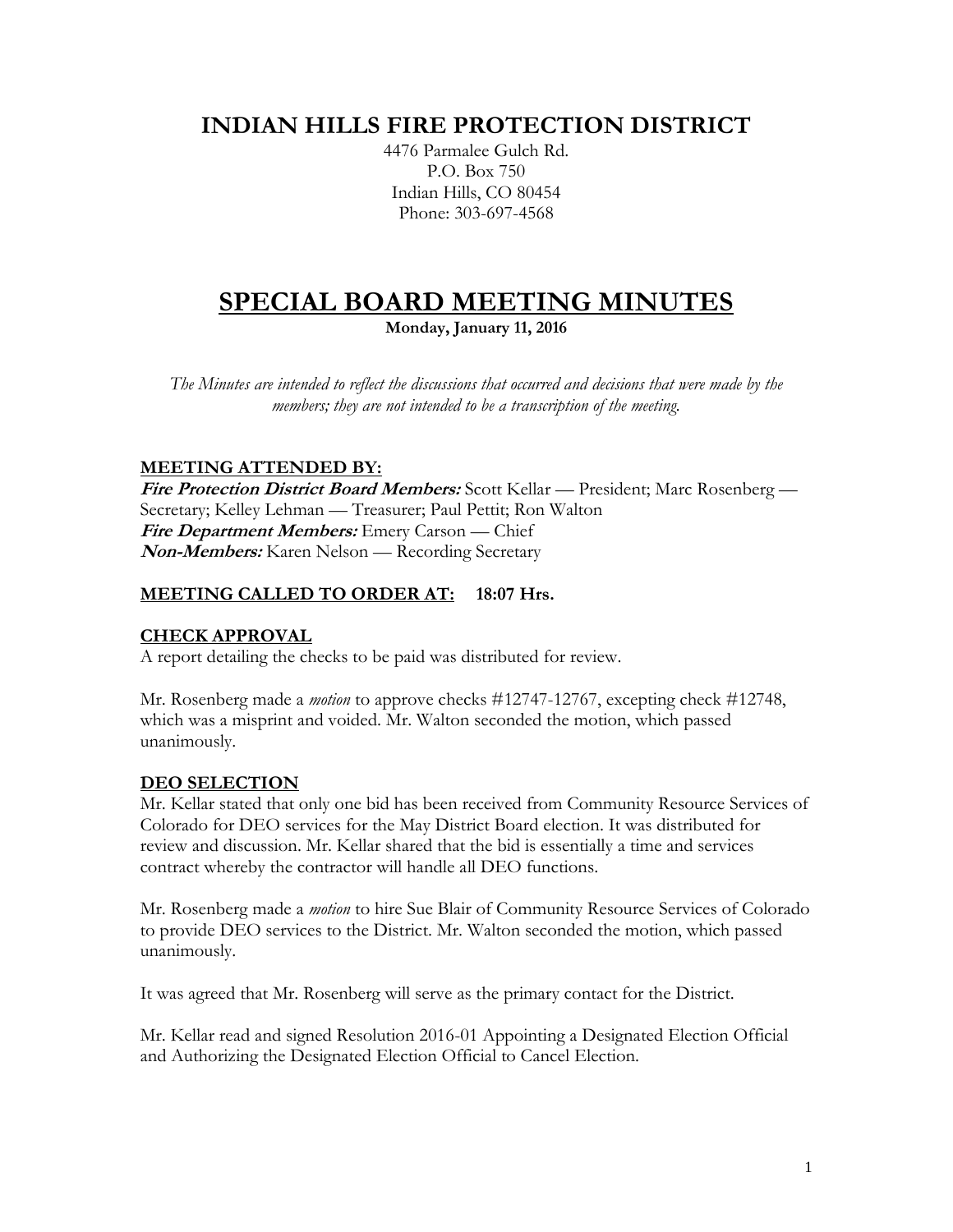# **INDIAN HILLS FIRE PROTECTION DISTRICT**

4476 Parmalee Gulch Rd. P.O. Box 750 Indian Hills, CO 80454 Phone: 303-697-4568

# **SPECIAL BOARD MEETING MINUTES**

**Monday, January 11, 2016**

*The Minutes are intended to reflect the discussions that occurred and decisions that were made by the members; they are not intended to be a transcription of the meeting.*

# **MEETING ATTENDED BY:**

**Fire Protection District Board Members:** Scott Kellar — President; Marc Rosenberg — Secretary; Kelley Lehman — Treasurer; Paul Pettit; Ron Walton **Fire Department Members:** Emery Carson — Chief **Non-Members:** Karen Nelson — Recording Secretary

# **MEETING CALLED TO ORDER AT: 18:07 Hrs.**

#### **CHECK APPROVAL**

A report detailing the checks to be paid was distributed for review.

Mr. Rosenberg made a *motion* to approve checks #12747-12767, excepting check #12748, which was a misprint and voided. Mr. Walton seconded the motion, which passed unanimously.

#### **DEO SELECTION**

Mr. Kellar stated that only one bid has been received from Community Resource Services of Colorado for DEO services for the May District Board election. It was distributed for review and discussion. Mr. Kellar shared that the bid is essentially a time and services contract whereby the contractor will handle all DEO functions.

Mr. Rosenberg made a *motion* to hire Sue Blair of Community Resource Services of Colorado to provide DEO services to the District. Mr. Walton seconded the motion, which passed unanimously.

It was agreed that Mr. Rosenberg will serve as the primary contact for the District.

Mr. Kellar read and signed Resolution 2016-01 Appointing a Designated Election Official and Authorizing the Designated Election Official to Cancel Election.